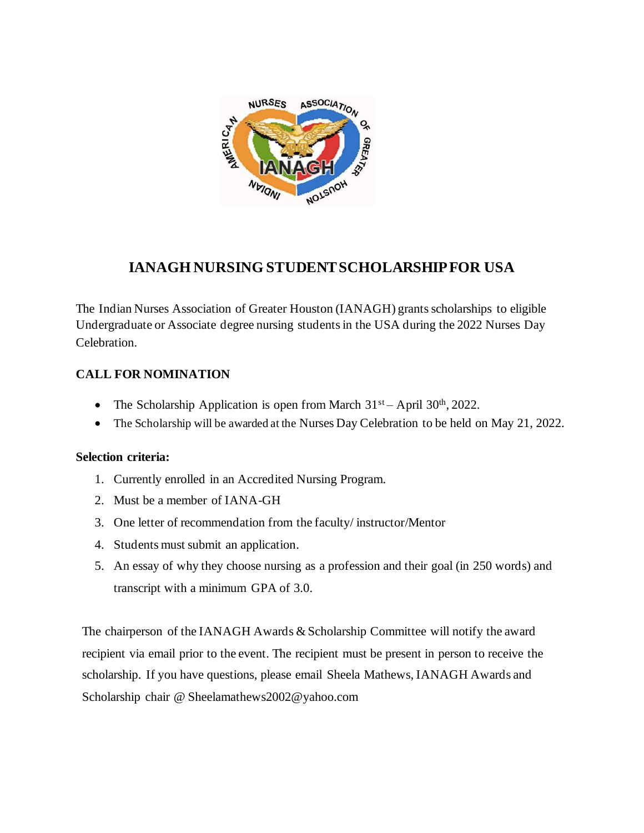

# **IANAGH NURSING STUDENT SCHOLARSHIPFOR USA**

The Indian Nurses Association of Greater Houston (IANAGH) grants scholarships to eligible Undergraduate or Associate degree nursing studentsin the USA during the 2022 Nurses Day Celebration.

### **CALL FOR NOMINATION**

- The Scholarship Application is open from March  $31<sup>st</sup> -$  April  $30<sup>th</sup>$ , 2022.
- The Scholarship will be awarded at the Nurses Day Celebration to be held on May 21, 2022.

#### **Selection criteria:**

- 1. Currently enrolled in an Accredited Nursing Program.
- 2. Must be a member of IANA-GH
- 3. One letter of recommendation from the faculty/ instructor/Mentor
- 4. Students must submit an application.
- 5. An essay of why they choose nursing as a profession and their goal (in 250 words) and transcript with a minimum GPA of 3.0.

The chairperson of the IANAGH Awards & Scholarship Committee will notify the award recipient via email prior to the event. The recipient must be present in person to receive the scholarship. If you have questions, please email Sheela Mathews, IANAGH Awards and Scholarship chair @ Sheelamathews2002@yahoo.com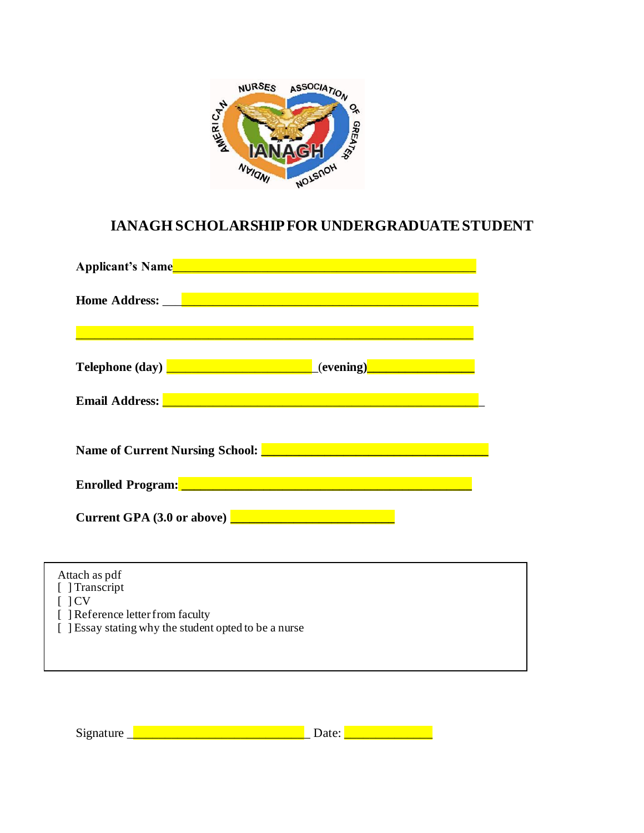

## **IANAGH SCHOLARSHIPFOR UNDERGRADUATESTUDENT**

| Attach as pdf                                                                                                                                                                                                                                                                                                                                |  |  |
|----------------------------------------------------------------------------------------------------------------------------------------------------------------------------------------------------------------------------------------------------------------------------------------------------------------------------------------------|--|--|
| [ ] Transcript                                                                                                                                                                                                                                                                                                                               |  |  |
| $\lceil$ $\lceil$ $\lceil$ $\lceil$ $\lceil$ $\lceil$ $\lceil$ $\lceil$ $\lceil$ $\lceil$ $\lceil$ $\lceil$ $\lceil$ $\lceil$ $\lceil$ $\lceil$ $\lceil$ $\lceil$ $\lceil$ $\lceil$ $\lceil$ $\lceil$ $\lceil$ $\lceil$ $\lceil$ $\lceil$ $\lceil$ $\lceil$ $\lceil$ $\lceil$ $\lceil$ $\lceil$ $\lceil$ $\lceil$ $\lceil$ $\lceil$ $\lceil$ |  |  |
| [ ] Reference letter from faculty                                                                                                                                                                                                                                                                                                            |  |  |
| [ ] Essay stating why the student opted to be a nurse                                                                                                                                                                                                                                                                                        |  |  |
|                                                                                                                                                                                                                                                                                                                                              |  |  |
|                                                                                                                                                                                                                                                                                                                                              |  |  |
|                                                                                                                                                                                                                                                                                                                                              |  |  |

Signature \_\_\_\_\_\_\_\_\_\_\_\_\_\_\_\_\_\_\_\_\_\_\_\_\_\_\_\_\_ Date: \_\_\_\_\_\_\_\_\_\_\_\_\_\_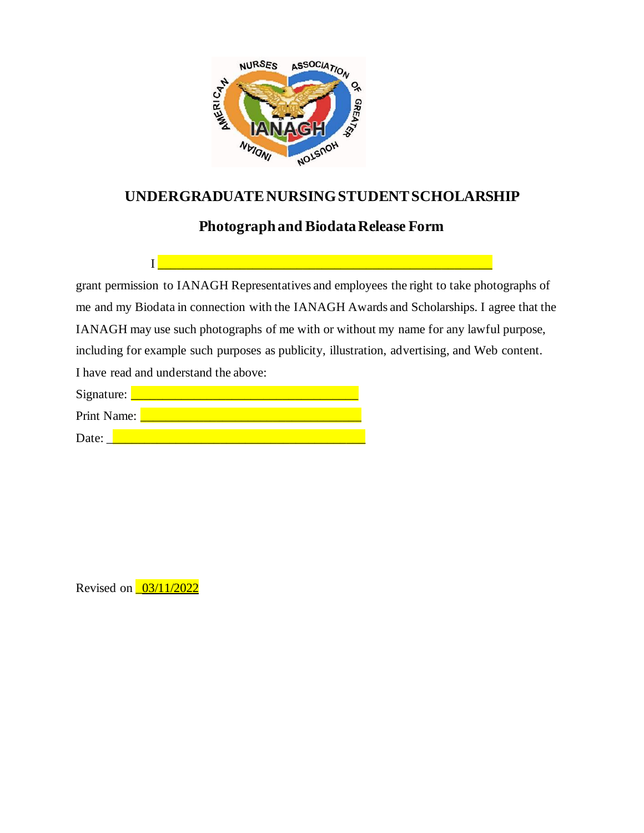

### **UNDERGRADUATE NURSING STUDENT SCHOLARSHIP**

## **Photograph and Biodata Release Form**

I \_\_\_\_\_\_\_\_\_\_\_\_\_\_\_\_\_\_\_\_\_\_\_\_\_\_\_\_\_\_\_\_\_\_\_\_\_\_\_\_\_\_\_\_\_\_\_\_\_\_\_\_\_

grant permission to IANAGH Representatives and employees the right to take photographs of me and my Biodata in connection with the IANAGH Awards and Scholarships. I agree that the IANAGH may use such photographs of me with or without my name for any lawful purpose, including for example such purposes as publicity, illustration, advertising, and Web content. I have read and understand the above:

| Signature:  |  |
|-------------|--|
| Print Name: |  |
| Date:       |  |

Revised on <u>03/11/2022</u>